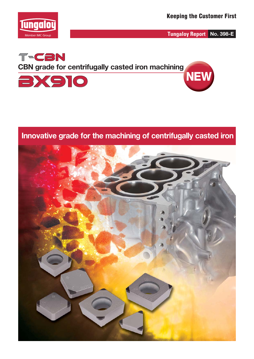

**Tungaloy Report No. 398-E**



**Innovative grade for the machining of centrifugally casted iron**

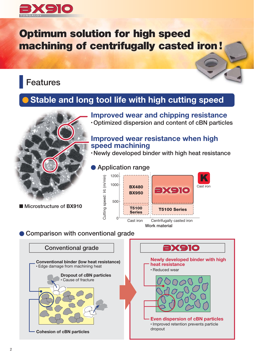

# **Optimum solution for high speed machining of centrifugally casted iron !**

## **Features**

### **Stable and long tool life with high cutting speed**



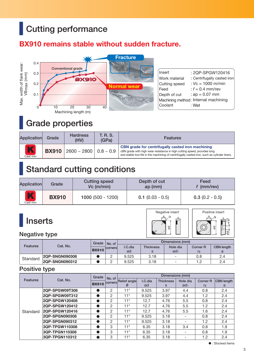# **Cutting performance**

### **BX910 remains stable without sudden fracture.**



## **Grade properties**

| Application    | Grade        | <b>Hardness</b><br>(HV)           |  | <b>Features</b>                                                                                                                                                                                                                      |  |  |
|----------------|--------------|-----------------------------------|--|--------------------------------------------------------------------------------------------------------------------------------------------------------------------------------------------------------------------------------------|--|--|
| K<br>Cast iron | <b>BX910</b> | $2600 \sim 2800$   0.8 $\sim 0.9$ |  | <b>CBN</b> grade for centrifugally casted iron machining<br>cBN grade with high wear resistance in high cutting speed, provides long<br>and stable tool life in the machining of centrifugally casted iron, such as cylinder liners. |  |  |

## **Standard cutting conditions**

| Application    | Grade        | <b>Cutting speed</b><br>$Vc$ (m/min) | Depth of cut<br>ap (mm) | Feed<br>$f$ (mm/rev) |  |  |
|----------------|--------------|--------------------------------------|-------------------------|----------------------|--|--|
| K<br>Cast iron | <b>BX910</b> | $1000(500 - 1200)$                   | $0.1$ (0.03 - 0.5)      | $0.3(0.2 - 0.5)$     |  |  |

# **Inserts**





|                 | Cat. No.              | Grade   No. of<br><b>Tcorners</b> |         | Dimensions (mm)  |          |                          |                   |     |
|-----------------|-----------------------|-----------------------------------|---------|------------------|----------|--------------------------|-------------------|-----|
| <b>Features</b> |                       |                                   | I.C.dia | <b>Thickness</b> | Hole dia | <b>Corner R</b>          | <b>CBN</b> length |     |
|                 |                       | <b>BX910</b>                      |         | ød               |          | Ød <sub>1</sub>          |                   |     |
| Standard        | 2QP-SNGN090308        |                                   |         | 9.525            | 3.18     | $\overline{\phantom{a}}$ | 0.8               | 2.4 |
|                 | <b>2QP-SNGN090312</b> |                                   |         | 9.525            | 3.18     | $\overline{\phantom{a}}$ |                   | 2.4 |

### **Positive type**

| <b>Features</b> | Cat. No.       | Grade | No. of<br><b>BX910</b> corners Relief angle | Dimensions (mm) |         |                  |                 |                   |                   |
|-----------------|----------------|-------|---------------------------------------------|-----------------|---------|------------------|-----------------|-------------------|-------------------|
|                 |                |       |                                             |                 | I.C.dia | <b>Thickness</b> | Hole dia        | <b>Corner R</b>   | <b>CBN</b> length |
|                 |                |       |                                             | θ               | ød      | s                | Ød <sub>1</sub> | $r_{\mathcal{E}}$ | a                 |
|                 | 2QP-SPGW09T308 |       | $\overline{2}$                              | $11^{\circ}$    | 9.525   | 3.97             | 4.4             | 0.8               | 2.4               |
|                 | 2QP-SPGW09T312 |       | $\overline{2}$                              | $11^{\circ}$    | 9.525   | 3.97             | 4.4             | 1.2               | 2.4               |
|                 | 2QP-SPGW120408 |       | $\overline{2}$                              | $11^{\circ}$    | 12.7    | 4.76             | 5.5             | 0.8               | 2.4               |
|                 | 2QP-SPGW120412 |       | 2                                           | $11^{\circ}$    | 12.7    | 4.76             | 5.5             | 1.2               | 2.4               |
| Standard        | 2QP-SPGW120416 |       | 2                                           | $11^{\circ}$    | 12.7    | 4.76             | 5.5             | 1.6               | 2.4               |
|                 | 2QP-SPGN090308 |       | 2                                           | $11^{\circ}$    | 9.525   | 3.18             |                 | 0.8               | 2.4               |
|                 | 2QP-SPGN090312 |       | 2                                           | $11^\circ$      | 9.525   | 3.18             |                 | 1.2               | 2.4               |
|                 | 3QP-TPGW110308 |       | 3                                           | $11^{\circ}$    | 6.35    | 3.18             | 3.4             | 0.8               | 1.9               |
|                 | 3QP-TPGN110308 |       | 3                                           | $11^\circ$      | 6.35    | 3.18             |                 | 0.8               | 1.9               |
|                 | 3QP-TPGN110312 |       | 3                                           | $11^{\circ}$    | 6.35    | 3.18             |                 | 1.2               | 2.4               |

 $\bullet$  : Stocked items

s<br>ت

ø